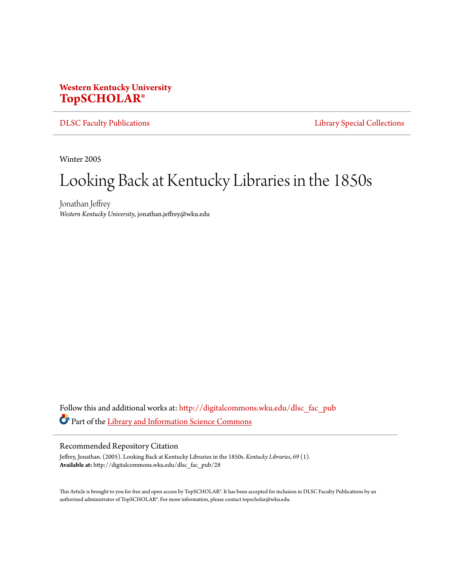## **Western Kentucky University [TopSCHOLAR®](http://digitalcommons.wku.edu?utm_source=digitalcommons.wku.edu%2Fdlsc_fac_pub%2F28&utm_medium=PDF&utm_campaign=PDFCoverPages)**

[DLSC Faculty Publications](http://digitalcommons.wku.edu/dlsc_fac_pub?utm_source=digitalcommons.wku.edu%2Fdlsc_fac_pub%2F28&utm_medium=PDF&utm_campaign=PDFCoverPages) **[Library Special Collections](http://digitalcommons.wku.edu/dlsc?utm_source=digitalcommons.wku.edu%2Fdlsc_fac_pub%2F28&utm_medium=PDF&utm_campaign=PDFCoverPages)** 

Winter 2005

# Looking Back at Kentucky Libraries in the 1850s

Jonathan Jeffrey *Western Kentucky University*, jonathan.jeffrey@wku.edu

Follow this and additional works at: [http://digitalcommons.wku.edu/dlsc\\_fac\\_pub](http://digitalcommons.wku.edu/dlsc_fac_pub?utm_source=digitalcommons.wku.edu%2Fdlsc_fac_pub%2F28&utm_medium=PDF&utm_campaign=PDFCoverPages) Part of the [Library and Information Science Commons](http://network.bepress.com/hgg/discipline/1018?utm_source=digitalcommons.wku.edu%2Fdlsc_fac_pub%2F28&utm_medium=PDF&utm_campaign=PDFCoverPages)

#### Recommended Repository Citation

Jeffrey, Jonathan. (2005). Looking Back at Kentucky Libraries in the 1850s. *Kentucky Libraries*, *69* (1). **Available at:** http://digitalcommons.wku.edu/dlsc\_fac\_pub/28

This Article is brought to you for free and open access by TopSCHOLAR®. It has been accepted for inclusion in DLSC Faculty Publications by an authorized administrator of TopSCHOLAR®. For more information, please contact topscholar@wku.edu.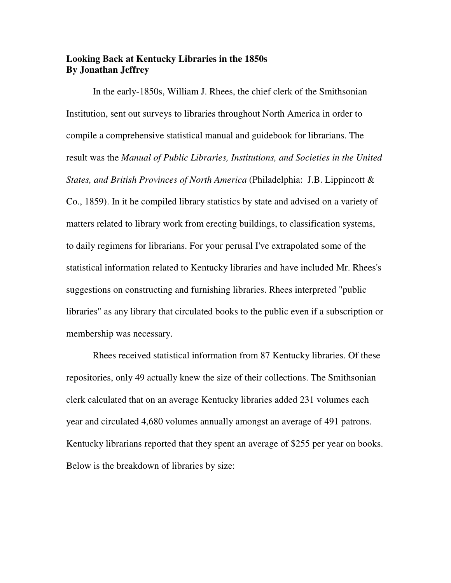## **Looking Back at Kentucky Libraries in the 1850s By Jonathan Jeffrey**

In the early-1850s, William J. Rhees, the chief clerk of the Smithsonian Institution, sent out surveys to libraries throughout North America in order to compile a comprehensive statistical manual and guidebook for librarians. The result was the *Manual of Public Libraries, Institutions, and Societies in the United States, and British Provinces of North America* (Philadelphia: J.B. Lippincott & Co., 1859). In it he compiled library statistics by state and advised on a variety of matters related to library work from erecting buildings, to classification systems, to daily regimens for librarians. For your perusal I've extrapolated some of the statistical information related to Kentucky libraries and have included Mr. Rhees's suggestions on constructing and furnishing libraries. Rhees interpreted "public libraries" as any library that circulated books to the public even if a subscription or membership was necessary.

 Rhees received statistical information from 87 Kentucky libraries. Of these repositories, only 49 actually knew the size of their collections. The Smithsonian clerk calculated that on an average Kentucky libraries added 231 volumes each year and circulated 4,680 volumes annually amongst an average of 491 patrons. Kentucky librarians reported that they spent an average of \$255 per year on books. Below is the breakdown of libraries by size: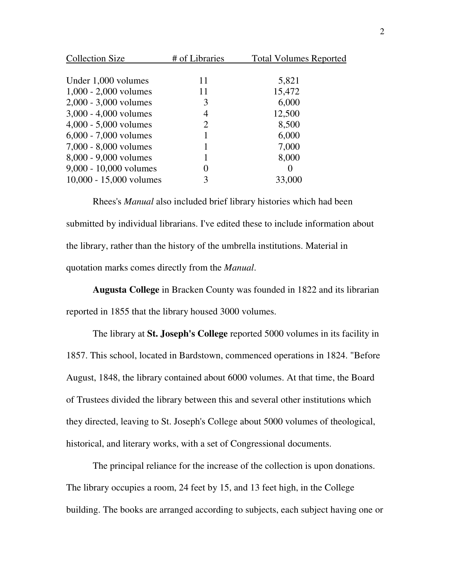| <b>Collection Size</b>   | # of Libraries | <b>Total Volumes Reported</b> |
|--------------------------|----------------|-------------------------------|
|                          |                |                               |
| Under 1,000 volumes      | 11             | 5,821                         |
| $1,000 - 2,000$ volumes  | 11             | 15,472                        |
| $2,000 - 3,000$ volumes  | 3              | 6,000                         |
| $3,000 - 4,000$ volumes  | 4              | 12,500                        |
| $4,000 - 5,000$ volumes  | 2              | 8,500                         |
| $6,000 - 7,000$ volumes  |                | 6,000                         |
| 7,000 - 8,000 volumes    |                | 7,000                         |
| 8,000 - 9,000 volumes    |                | 8,000                         |
| $9,000 - 10,000$ volumes | 0              | $\Omega$                      |
| 10,000 - 15,000 volumes  | 3              | 33,000                        |
|                          |                |                               |

Rhees's *Manual* also included brief library histories which had been submitted by individual librarians. I've edited these to include information about the library, rather than the history of the umbrella institutions. Material in quotation marks comes directly from the *Manual*.

**Augusta College** in Bracken County was founded in 1822 and its librarian reported in 1855 that the library housed 3000 volumes.

The library at **St. Joseph's College** reported 5000 volumes in its facility in 1857. This school, located in Bardstown, commenced operations in 1824. "Before August, 1848, the library contained about 6000 volumes. At that time, the Board of Trustees divided the library between this and several other institutions which they directed, leaving to St. Joseph's College about 5000 volumes of theological, historical, and literary works, with a set of Congressional documents.

 The principal reliance for the increase of the collection is upon donations. The library occupies a room, 24 feet by 15, and 13 feet high, in the College building. The books are arranged according to subjects, each subject having one or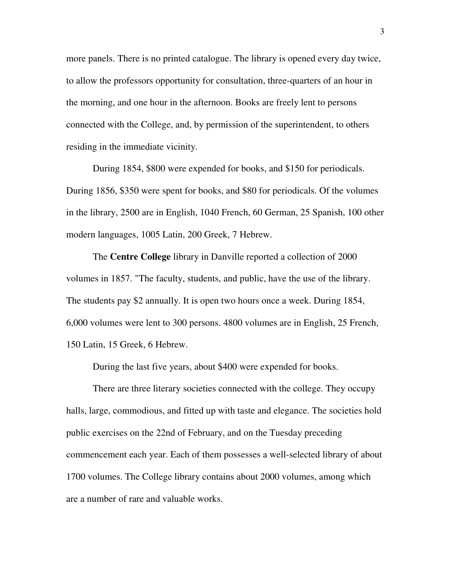more panels. There is no printed catalogue. The library is opened every day twice, to allow the professors opportunity for consultation, three-quarters of an hour in the morning, and one hour in the afternoon. Books are freely lent to persons connected with the College, and, by permission of the superintendent, to others residing in the immediate vicinity.

 During 1854, \$800 were expended for books, and \$150 for periodicals. During 1856, \$350 were spent for books, and \$80 for periodicals. Of the volumes in the library, 2500 are in English, 1040 French, 60 German, 25 Spanish, 100 other modern languages, 1005 Latin, 200 Greek, 7 Hebrew.

The **Centre College** library in Danville reported a collection of 2000 volumes in 1857. "The faculty, students, and public, have the use of the library. The students pay \$2 annually. It is open two hours once a week. During 1854, 6,000 volumes were lent to 300 persons. 4800 volumes are in English, 25 French, 150 Latin, 15 Greek, 6 Hebrew.

During the last five years, about \$400 were expended for books.

There are three literary societies connected with the college. They occupy halls, large, commodious, and fitted up with taste and elegance. The societies hold public exercises on the 22nd of February, and on the Tuesday preceding commencement each year. Each of them possesses a well-selected library of about 1700 volumes. The College library contains about 2000 volumes, among which are a number of rare and valuable works.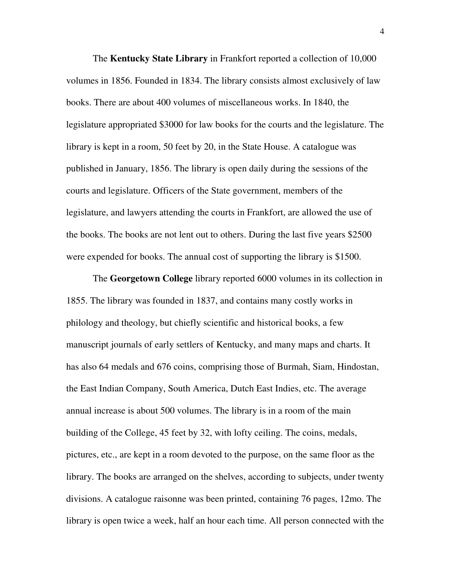The **Kentucky State Library** in Frankfort reported a collection of 10,000 volumes in 1856. Founded in 1834. The library consists almost exclusively of law books. There are about 400 volumes of miscellaneous works. In 1840, the legislature appropriated \$3000 for law books for the courts and the legislature. The library is kept in a room, 50 feet by 20, in the State House. A catalogue was published in January, 1856. The library is open daily during the sessions of the courts and legislature. Officers of the State government, members of the legislature, and lawyers attending the courts in Frankfort, are allowed the use of the books. The books are not lent out to others. During the last five years \$2500 were expended for books. The annual cost of supporting the library is \$1500.

The **Georgetown College** library reported 6000 volumes in its collection in 1855. The library was founded in 1837, and contains many costly works in philology and theology, but chiefly scientific and historical books, a few manuscript journals of early settlers of Kentucky, and many maps and charts. It has also 64 medals and 676 coins, comprising those of Burmah, Siam, Hindostan, the East Indian Company, South America, Dutch East Indies, etc. The average annual increase is about 500 volumes. The library is in a room of the main building of the College, 45 feet by 32, with lofty ceiling. The coins, medals, pictures, etc., are kept in a room devoted to the purpose, on the same floor as the library. The books are arranged on the shelves, according to subjects, under twenty divisions. A catalogue raisonne was been printed, containing 76 pages, 12mo. The library is open twice a week, half an hour each time. All person connected with the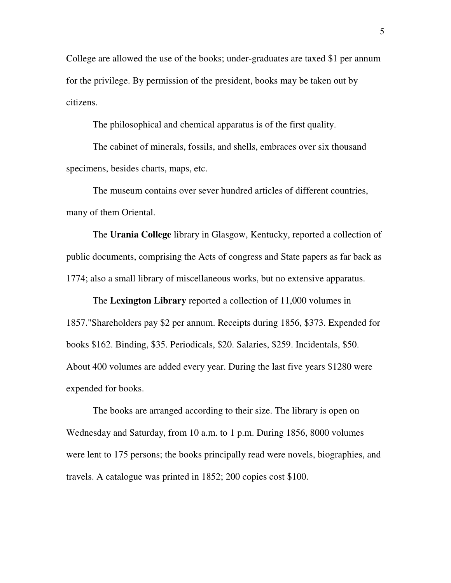College are allowed the use of the books; under-graduates are taxed \$1 per annum for the privilege. By permission of the president, books may be taken out by citizens.

The philosophical and chemical apparatus is of the first quality.

 The cabinet of minerals, fossils, and shells, embraces over six thousand specimens, besides charts, maps, etc.

 The museum contains over sever hundred articles of different countries, many of them Oriental.

The **Urania College** library in Glasgow, Kentucky, reported a collection of public documents, comprising the Acts of congress and State papers as far back as 1774; also a small library of miscellaneous works, but no extensive apparatus.

The **Lexington Library** reported a collection of 11,000 volumes in 1857."Shareholders pay \$2 per annum. Receipts during 1856, \$373. Expended for books \$162. Binding, \$35. Periodicals, \$20. Salaries, \$259. Incidentals, \$50. About 400 volumes are added every year. During the last five years \$1280 were expended for books.

The books are arranged according to their size. The library is open on Wednesday and Saturday, from 10 a.m. to 1 p.m. During 1856, 8000 volumes were lent to 175 persons; the books principally read were novels, biographies, and travels. A catalogue was printed in 1852; 200 copies cost \$100.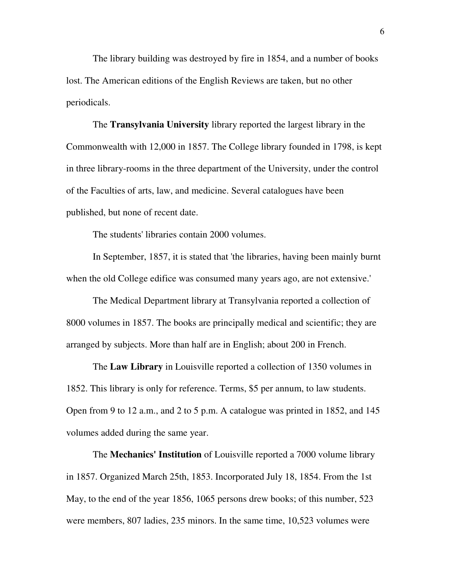The library building was destroyed by fire in 1854, and a number of books lost. The American editions of the English Reviews are taken, but no other periodicals.

The **Transylvania University** library reported the largest library in the Commonwealth with 12,000 in 1857. The College library founded in 1798, is kept in three library-rooms in the three department of the University, under the control of the Faculties of arts, law, and medicine. Several catalogues have been published, but none of recent date.

The students' libraries contain 2000 volumes.

 In September, 1857, it is stated that 'the libraries, having been mainly burnt when the old College edifice was consumed many years ago, are not extensive.'

 The Medical Department library at Transylvania reported a collection of 8000 volumes in 1857. The books are principally medical and scientific; they are arranged by subjects. More than half are in English; about 200 in French.

The **Law Library** in Louisville reported a collection of 1350 volumes in 1852. This library is only for reference. Terms, \$5 per annum, to law students. Open from 9 to 12 a.m., and 2 to 5 p.m. A catalogue was printed in 1852, and 145 volumes added during the same year.

The **Mechanics' Institution** of Louisville reported a 7000 volume library in 1857. Organized March 25th, 1853. Incorporated July 18, 1854. From the 1st May, to the end of the year 1856, 1065 persons drew books; of this number, 523 were members, 807 ladies, 235 minors. In the same time, 10,523 volumes were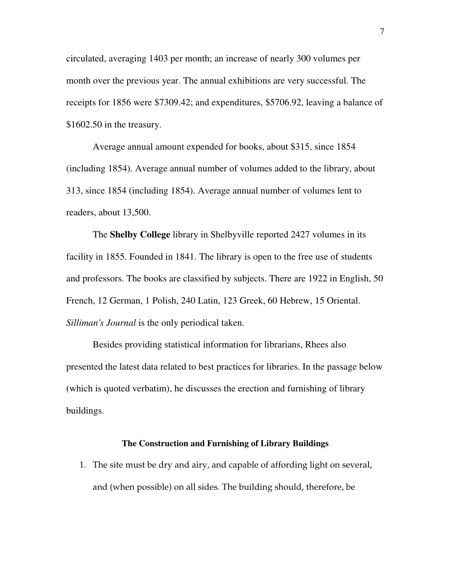circulated, averaging 1403 per month; an increase of nearly 300 volumes per month over the previous year. The annual exhibitions are very successful. The receipts for 1856 were \$7309.42; and expenditures, \$5706.92, leaving a balance of \$1602.50 in the treasury.

Average annual amount expended for books, about \$315, since 1854 (including 1854). Average annual number of volumes added to the library, about 313, since 1854 (including 1854). Average annual number of volumes lent to readers, about 13,500.

The **Shelby College** library in Shelbyville reported 2427 volumes in its facility in 1855. Founded in 1841. The library is open to the free use of students and professors. The books are classified by subjects. There are 1922 in English, 50 French, 12 German, 1 Polish, 240 Latin, 123 Greek, 60 Hebrew, 15 Oriental. *Silliman's Journal* is the only periodical taken.

 Besides providing statistical information for librarians, Rhees also presented the latest data related to best practices for libraries. In the passage below (which is quoted verbatim), he discusses the erection and furnishing of library buildings.

## **The Construction and Furnishing of Library Buildings**

1. The site must be dry and airy, and capable of affording light on several, and (when possible) on all sides. The building should, therefore, be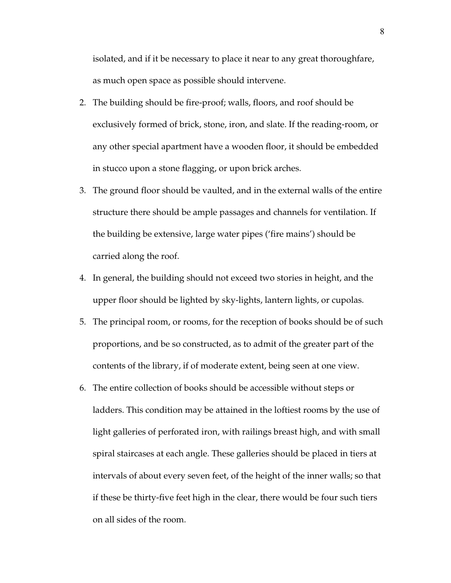isolated, and if it be necessary to place it near to any great thoroughfare, as much open space as possible should intervene.

- 2. The building should be fire-proof; walls, floors, and roof should be exclusively formed of brick, stone, iron, and slate. If the reading-room, or any other special apartment have a wooden floor, it should be embedded in stucco upon a stone flagging, or upon brick arches.
- 3. The ground floor should be vaulted, and in the external walls of the entire structure there should be ample passages and channels for ventilation. If the building be extensive, large water pipes ('fire mains') should be carried along the roof.
- 4. In general, the building should not exceed two stories in height, and the upper floor should be lighted by sky-lights, lantern lights, or cupolas.
- 5. The principal room, or rooms, for the reception of books should be of such proportions, and be so constructed, as to admit of the greater part of the contents of the library, if of moderate extent, being seen at one view.
- 6. The entire collection of books should be accessible without steps or ladders. This condition may be attained in the loftiest rooms by the use of light galleries of perforated iron, with railings breast high, and with small spiral staircases at each angle. These galleries should be placed in tiers at intervals of about every seven feet, of the height of the inner walls; so that if these be thirty-five feet high in the clear, there would be four such tiers on all sides of the room.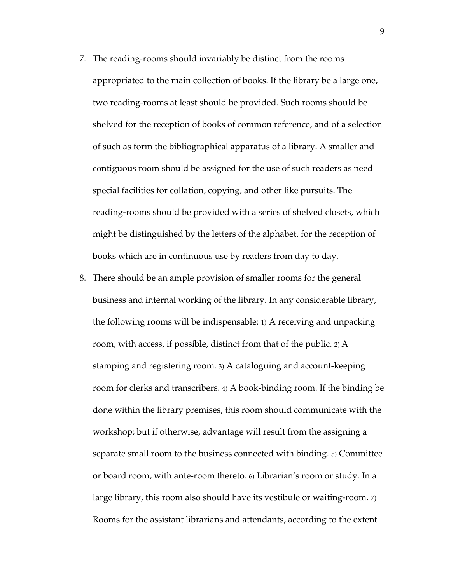- 7. The reading-rooms should invariably be distinct from the rooms appropriated to the main collection of books. If the library be a large one, two reading-rooms at least should be provided. Such rooms should be shelved for the reception of books of common reference, and of a selection of such as form the bibliographical apparatus of a library. A smaller and contiguous room should be assigned for the use of such readers as need special facilities for collation, copying, and other like pursuits. The reading-rooms should be provided with a series of shelved closets, which might be distinguished by the letters of the alphabet, for the reception of books which are in continuous use by readers from day to day.
- 8. There should be an ample provision of smaller rooms for the general business and internal working of the library. In any considerable library, the following rooms will be indispensable: 1) A receiving and unpacking room, with access, if possible, distinct from that of the public. 2) A stamping and registering room. 3) A cataloguing and account-keeping room for clerks and transcribers. 4) A book-binding room. If the binding be done within the library premises, this room should communicate with the workshop; but if otherwise, advantage will result from the assigning a separate small room to the business connected with binding. 5) Committee or board room, with ante-room thereto. 6) Librarian's room or study. In a large library, this room also should have its vestibule or waiting-room. 7) Rooms for the assistant librarians and attendants, according to the extent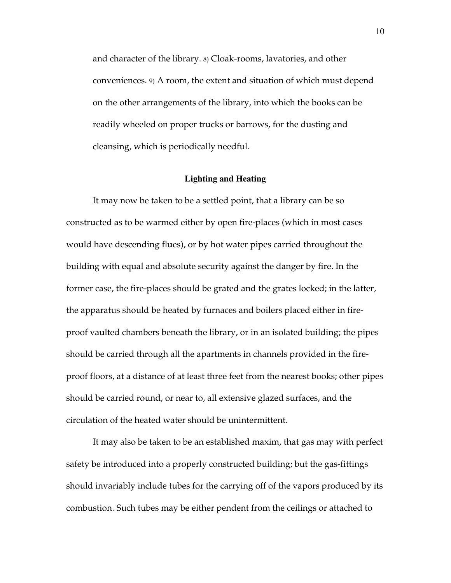and character of the library. 8) Cloak-rooms, lavatories, and other conveniences. 9) A room, the extent and situation of which must depend on the other arrangements of the library, into which the books can be readily wheeled on proper trucks or barrows, for the dusting and cleansing, which is periodically needful.

## **Lighting and Heating**

 It may now be taken to be a settled point, that a library can be so constructed as to be warmed either by open fire-places (which in most cases would have descending flues), or by hot water pipes carried throughout the building with equal and absolute security against the danger by fire. In the former case, the fire-places should be grated and the grates locked; in the latter, the apparatus should be heated by furnaces and boilers placed either in fireproof vaulted chambers beneath the library, or in an isolated building; the pipes should be carried through all the apartments in channels provided in the fireproof floors, at a distance of at least three feet from the nearest books; other pipes should be carried round, or near to, all extensive glazed surfaces, and the circulation of the heated water should be unintermittent.

 It may also be taken to be an established maxim, that gas may with perfect safety be introduced into a properly constructed building; but the gas-fittings should invariably include tubes for the carrying off of the vapors produced by its combustion. Such tubes may be either pendent from the ceilings or attached to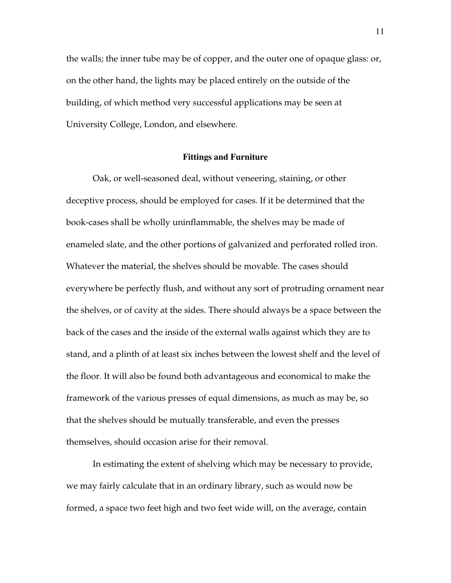the walls; the inner tube may be of copper, and the outer one of opaque glass: or, on the other hand, the lights may be placed entirely on the outside of the building, of which method very successful applications may be seen at University College, London, and elsewhere.

## **Fittings and Furniture**

 Oak, or well-seasoned deal, without veneering, staining, or other deceptive process, should be employed for cases. If it be determined that the book-cases shall be wholly uninflammable, the shelves may be made of enameled slate, and the other portions of galvanized and perforated rolled iron. Whatever the material, the shelves should be movable. The cases should everywhere be perfectly flush, and without any sort of protruding ornament near the shelves, or of cavity at the sides. There should always be a space between the back of the cases and the inside of the external walls against which they are to stand, and a plinth of at least six inches between the lowest shelf and the level of the floor. It will also be found both advantageous and economical to make the framework of the various presses of equal dimensions, as much as may be, so that the shelves should be mutually transferable, and even the presses themselves, should occasion arise for their removal.

 In estimating the extent of shelving which may be necessary to provide, we may fairly calculate that in an ordinary library, such as would now be formed, a space two feet high and two feet wide will, on the average, contain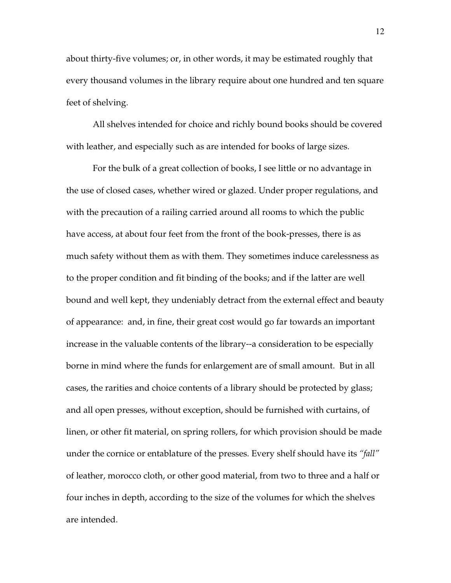about thirty-five volumes; or, in other words, it may be estimated roughly that every thousand volumes in the library require about one hundred and ten square feet of shelving.

 All shelves intended for choice and richly bound books should be covered with leather, and especially such as are intended for books of large sizes.

 For the bulk of a great collection of books, I see little or no advantage in the use of closed cases, whether wired or glazed. Under proper regulations, and with the precaution of a railing carried around all rooms to which the public have access, at about four feet from the front of the book-presses, there is as much safety without them as with them. They sometimes induce carelessness as to the proper condition and fit binding of the books; and if the latter are well bound and well kept, they undeniably detract from the external effect and beauty of appearance: and, in fine, their great cost would go far towards an important increase in the valuable contents of the library--a consideration to be especially borne in mind where the funds for enlargement are of small amount. But in all cases, the rarities and choice contents of a library should be protected by glass; and all open presses, without exception, should be furnished with curtains, of linen, or other fit material, on spring rollers, for which provision should be made under the cornice or entablature of the presses. Every shelf should have its *"fall"* of leather, morocco cloth, or other good material, from two to three and a half or four inches in depth, according to the size of the volumes for which the shelves are intended.